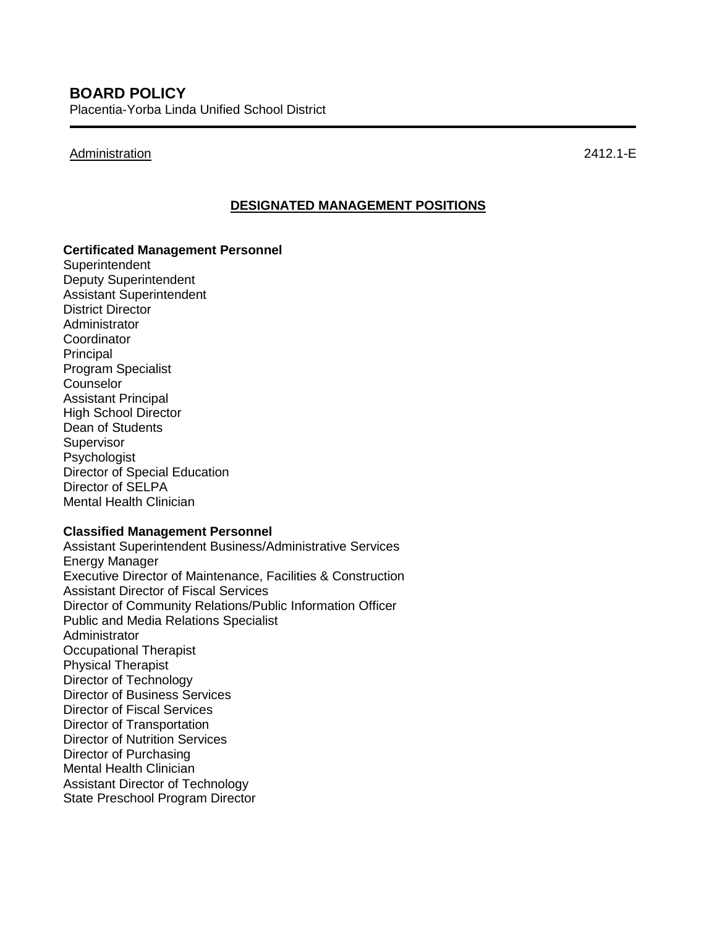### Administration 2412.1-E

### **DESIGNATED MANAGEMENT POSITIONS**

#### **Certificated Management Personnel**

**Superintendent** Deputy Superintendent Assistant Superintendent District Director Administrator **Coordinator** Principal Program Specialist **Counselor** Assistant Principal High School Director Dean of Students **Supervisor** Psychologist Director of Special Education Director of SELPA Mental Health Clinician

### **Classified Management Personnel**

Assistant Superintendent Business/Administrative Services Energy Manager Executive Director of Maintenance, Facilities & Construction Assistant Director of Fiscal Services Director of Community Relations/Public Information Officer Public and Media Relations Specialist Administrator Occupational Therapist Physical Therapist Director of Technology Director of Business Services Director of Fiscal Services Director of Transportation Director of Nutrition Services Director of Purchasing Mental Health Clinician Assistant Director of Technology State Preschool Program Director